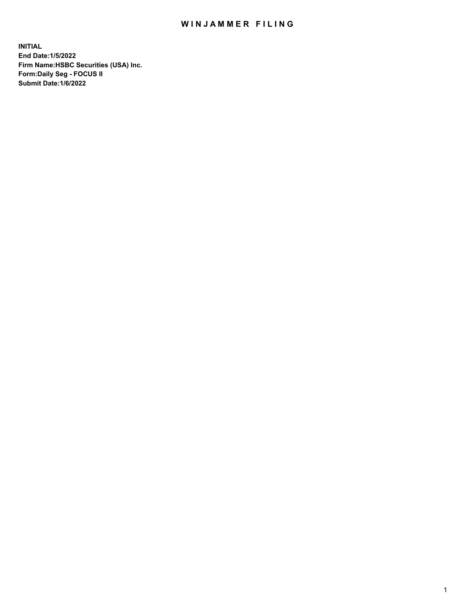## WIN JAMMER FILING

**INITIAL End Date:1/5/2022 Firm Name:HSBC Securities (USA) Inc. Form:Daily Seg - FOCUS II Submit Date:1/6/2022**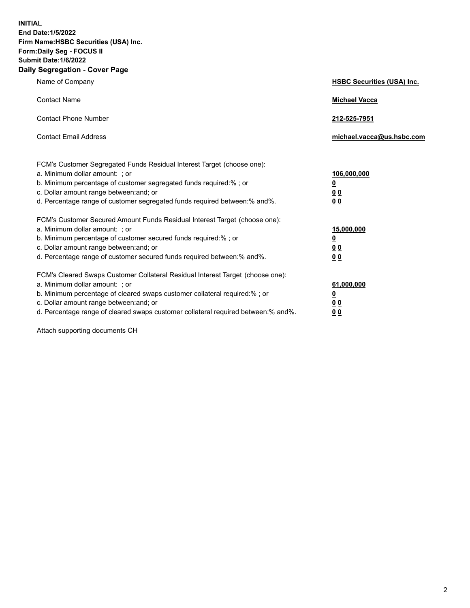**INITIAL End Date:1/5/2022 Firm Name:HSBC Securities (USA) Inc. Form:Daily Seg - FOCUS II Submit Date:1/6/2022 Daily Segregation - Cover Page**

| Name of Company                                                                                                                                                                                                                                                                                                                | <b>HSBC Securities (USA) Inc.</b>                                           |
|--------------------------------------------------------------------------------------------------------------------------------------------------------------------------------------------------------------------------------------------------------------------------------------------------------------------------------|-----------------------------------------------------------------------------|
| <b>Contact Name</b>                                                                                                                                                                                                                                                                                                            | <b>Michael Vacca</b>                                                        |
| <b>Contact Phone Number</b>                                                                                                                                                                                                                                                                                                    | 212-525-7951                                                                |
| <b>Contact Email Address</b>                                                                                                                                                                                                                                                                                                   | michael.vacca@us.hsbc.com                                                   |
| FCM's Customer Segregated Funds Residual Interest Target (choose one):<br>a. Minimum dollar amount: ; or<br>b. Minimum percentage of customer segregated funds required:%; or<br>c. Dollar amount range between: and; or<br>d. Percentage range of customer segregated funds required between: % and %.                        | 106,000,000<br>$\underline{\mathbf{0}}$<br>0 <sub>0</sub><br>0 <sub>0</sub> |
| FCM's Customer Secured Amount Funds Residual Interest Target (choose one):<br>a. Minimum dollar amount: ; or<br>b. Minimum percentage of customer secured funds required:%; or<br>c. Dollar amount range between: and; or<br>d. Percentage range of customer secured funds required between: % and %.                          | 15,000,000<br><u>0</u><br>0 <sub>0</sub><br>0 <sub>0</sub>                  |
| FCM's Cleared Swaps Customer Collateral Residual Interest Target (choose one):<br>a. Minimum dollar amount: ; or<br>b. Minimum percentage of cleared swaps customer collateral required:% ; or<br>c. Dollar amount range between: and; or<br>d. Percentage range of cleared swaps customer collateral required between:% and%. | 61,000,000<br><u>0</u><br><u>00</u><br>00                                   |

Attach supporting documents CH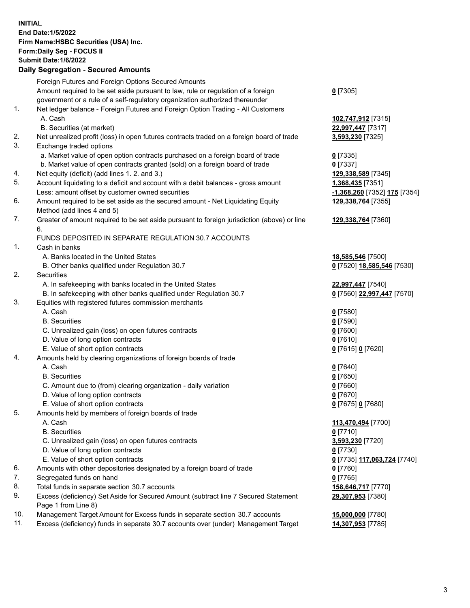**INITIAL End Date:1/5/2022 Firm Name:HSBC Securities (USA) Inc. Form:Daily Seg - FOCUS II Submit Date:1/6/2022 Daily Segregation - Secured Amounts** Foreign Futures and Foreign Options Secured Amounts Amount required to be set aside pursuant to law, rule or regulation of a foreign government or a rule of a self-regulatory organization authorized thereunder **0** [7305] 1. Net ledger balance - Foreign Futures and Foreign Option Trading - All Customers A. Cash **102,747,912** [7315] B. Securities (at market) **22,997,447** [7317] 2. Net unrealized profit (loss) in open futures contracts traded on a foreign board of trade **3,593,230** [7325] 3. Exchange traded options a. Market value of open option contracts purchased on a foreign board of trade **0** [7335] b. Market value of open contracts granted (sold) on a foreign board of trade **0** [7337] 4. Net equity (deficit) (add lines 1. 2. and 3.) **129,338,589** [7345] 5. Account liquidating to a deficit and account with a debit balances - gross amount **1,368,435** [7351] Less: amount offset by customer owned securities **-1,368,260** [7352] **175** [7354] 6. Amount required to be set aside as the secured amount - Net Liquidating Equity Method (add lines 4 and 5) **129,338,764** [7355] 7. Greater of amount required to be set aside pursuant to foreign jurisdiction (above) or line 6. **129,338,764** [7360] FUNDS DEPOSITED IN SEPARATE REGULATION 30.7 ACCOUNTS 1. Cash in banks A. Banks located in the United States **18,585,546** [7500] B. Other banks qualified under Regulation 30.7 **0** [7520] **18,585,546** [7530] 2. Securities A. In safekeeping with banks located in the United States **22,997,447** [7540] B. In safekeeping with other banks qualified under Regulation 30.7 **0** [7560] **22,997,447** [7570] 3. Equities with registered futures commission merchants A. Cash **0** [7580] B. Securities **0** [7590] C. Unrealized gain (loss) on open futures contracts **0** [7600] D. Value of long option contracts **0** [7610] E. Value of short option contracts **0** [7615] **0** [7620] 4. Amounts held by clearing organizations of foreign boards of trade A. Cash **0** [7640] B. Securities **0** [7650] C. Amount due to (from) clearing organization - daily variation **0** [7660] D. Value of long option contracts **0** [7670] E. Value of short option contracts **0** [7675] **0** [7680] 5. Amounts held by members of foreign boards of trade A. Cash **113,470,494** [7700] B. Securities **0** [7710] C. Unrealized gain (loss) on open futures contracts **3,593,230** [7720] D. Value of long option contracts **0** [7730] E. Value of short option contracts **0** [7735] **117,063,724** [7740] 6. Amounts with other depositories designated by a foreign board of trade **0** [7760] 7. Segregated funds on hand **0** [7765] 8. Total funds in separate section 30.7 accounts **158,646,717** [7770] 9. Excess (deficiency) Set Aside for Secured Amount (subtract line 7 Secured Statement Page 1 from Line 8) **29,307,953** [7380] 10. Management Target Amount for Excess funds in separate section 30.7 accounts **15,000,000** [7780] 11. Excess (deficiency) funds in separate 30.7 accounts over (under) Management Target **14,307,953** [7785]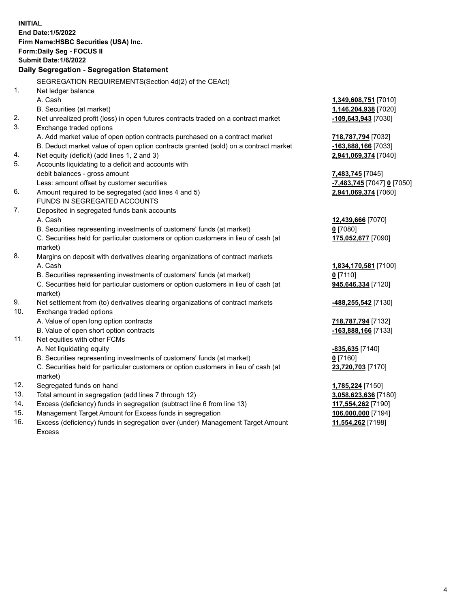|     | <b>INITIAL</b><br>End Date: 1/5/2022<br>Firm Name: HSBC Securities (USA) Inc.<br>Form: Daily Seg - FOCUS II<br>Submit Date:1/6/2022<br>Daily Segregation - Segregation Statement |                                          |
|-----|----------------------------------------------------------------------------------------------------------------------------------------------------------------------------------|------------------------------------------|
|     | SEGREGATION REQUIREMENTS(Section 4d(2) of the CEAct)                                                                                                                             |                                          |
| 1.  | Net ledger balance                                                                                                                                                               |                                          |
|     | A. Cash                                                                                                                                                                          | 1,349,608,751 [7010]                     |
|     | B. Securities (at market)                                                                                                                                                        | 1,146,204,938 [7020]                     |
| 2.  | Net unrealized profit (loss) in open futures contracts traded on a contract market                                                                                               | -109,643,943 [7030]                      |
| 3.  | Exchange traded options                                                                                                                                                          |                                          |
|     | A. Add market value of open option contracts purchased on a contract market                                                                                                      | 718,787,794 [7032]                       |
|     | B. Deduct market value of open option contracts granted (sold) on a contract market                                                                                              | -163,888,166 [7033]                      |
| 4.  | Net equity (deficit) (add lines 1, 2 and 3)                                                                                                                                      | 2,941,069,374 [7040]                     |
| 5.  | Accounts liquidating to a deficit and accounts with                                                                                                                              |                                          |
|     | debit balances - gross amount                                                                                                                                                    | 7,483,745 [7045]                         |
|     | Less: amount offset by customer securities                                                                                                                                       | <u>-7,483,745</u> [7047] <u>0</u> [7050] |
| 6.  | Amount required to be segregated (add lines 4 and 5)                                                                                                                             | 2,941,069,374 [7060]                     |
|     | FUNDS IN SEGREGATED ACCOUNTS                                                                                                                                                     |                                          |
| 7.  | Deposited in segregated funds bank accounts                                                                                                                                      |                                          |
|     | A. Cash                                                                                                                                                                          | 12,439,666 [7070]                        |
|     | B. Securities representing investments of customers' funds (at market)                                                                                                           | $0$ [7080]                               |
|     | C. Securities held for particular customers or option customers in lieu of cash (at                                                                                              | 175,052,677 [7090]                       |
|     | market)                                                                                                                                                                          |                                          |
| 8.  | Margins on deposit with derivatives clearing organizations of contract markets                                                                                                   |                                          |
|     | A. Cash                                                                                                                                                                          | 1,834,170,581 [7100]                     |
|     | B. Securities representing investments of customers' funds (at market)                                                                                                           | $0$ [7110]                               |
|     | C. Securities held for particular customers or option customers in lieu of cash (at<br>market)                                                                                   | 945,646,334 [7120]                       |
| 9.  | Net settlement from (to) derivatives clearing organizations of contract markets                                                                                                  | <u>-488,255,542</u> [7130]               |
| 10. | Exchange traded options                                                                                                                                                          |                                          |
|     | A. Value of open long option contracts                                                                                                                                           | 718,787,794 [7132]                       |
|     | B. Value of open short option contracts                                                                                                                                          | $-163,888,166$ [7133]                    |
| 11. | Net equities with other FCMs                                                                                                                                                     |                                          |
|     | A. Net liquidating equity                                                                                                                                                        | $-835,635$ [7140]                        |
|     | B. Securities representing investments of customers' funds (at market)                                                                                                           | $0$ [7160]                               |
|     | C. Securities held for particular customers or option customers in lieu of cash (at                                                                                              | 23,720,703 [7170]                        |
|     | market)                                                                                                                                                                          |                                          |
| 12. | Segregated funds on hand                                                                                                                                                         | 1,785,224 [7150]                         |
| 13. | Total amount in segregation (add lines 7 through 12)                                                                                                                             | 3,058,623,636 [7180]                     |
| 14. | Excess (deficiency) funds in segregation (subtract line 6 from line 13)                                                                                                          | 117,554,262 [7190]                       |
| 15. | Management Target Amount for Excess funds in segregation                                                                                                                         | 106,000,000 [7194]                       |
| 16. | Excess (deficiency) funds in segregation over (under) Management Target Amount                                                                                                   | 11,554,262 [7198]                        |

16. Excess (deficiency) funds in segregation over (under) Management Target Amount Excess